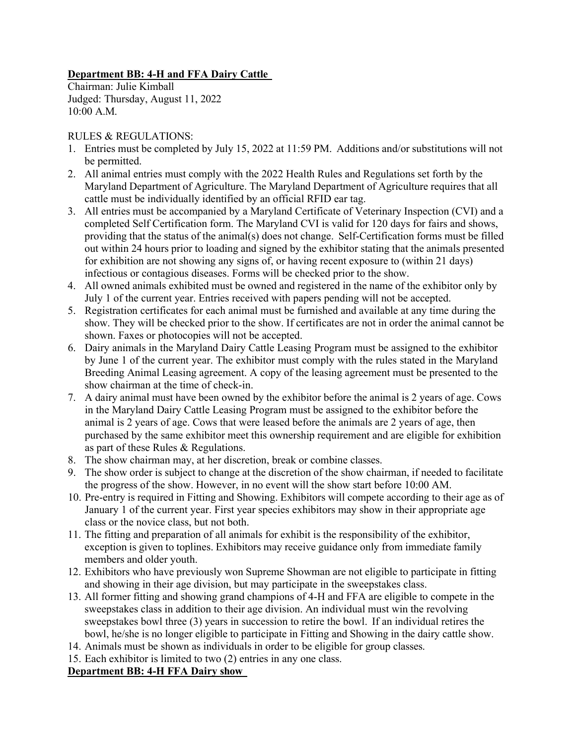# **Department BB: 4-H and FFA Dairy Cattle**

Chairman: Julie Kimball Judged: Thursday, August 11, 2022 10:00 A.M.

# RULES & REGULATIONS:

- 1. Entries must be completed by July 15, 2022 at 11:59 PM. Additions and/or substitutions will not be permitted.
- 2. All animal entries must comply with the 2022 Health Rules and Regulations set forth by the Maryland Department of Agriculture. The Maryland Department of Agriculture requires that all cattle must be individually identified by an official RFID ear tag.
- 3. All entries must be accompanied by a Maryland Certificate of Veterinary Inspection (CVI) and a completed Self Certification form. The Maryland CVI is valid for 120 days for fairs and shows, providing that the status of the animal(s) does not change. Self-Certification forms must be filled out within 24 hours prior to loading and signed by the exhibitor stating that the animals presented for exhibition are not showing any signs of, or having recent exposure to (within 21 days) infectious or contagious diseases. Forms will be checked prior to the show.
- 4. All owned animals exhibited must be owned and registered in the name of the exhibitor only by July 1 of the current year. Entries received with papers pending will not be accepted.
- 5. Registration certificates for each animal must be furnished and available at any time during the show. They will be checked prior to the show. If certificates are not in order the animal cannot be shown. Faxes or photocopies will not be accepted.
- 6. Dairy animals in the Maryland Dairy Cattle Leasing Program must be assigned to the exhibitor by June 1 of the current year. The exhibitor must comply with the rules stated in the Maryland Breeding Animal Leasing agreement. A copy of the leasing agreement must be presented to the show chairman at the time of check-in.
- 7. A dairy animal must have been owned by the exhibitor before the animal is 2 years of age. Cows in the Maryland Dairy Cattle Leasing Program must be assigned to the exhibitor before the animal is 2 years of age. Cows that were leased before the animals are 2 years of age, then purchased by the same exhibitor meet this ownership requirement and are eligible for exhibition as part of these Rules & Regulations.
- 8. The show chairman may, at her discretion, break or combine classes.
- 9. The show order is subject to change at the discretion of the show chairman, if needed to facilitate the progress of the show. However, in no event will the show start before 10:00 AM.
- 10. Pre-entry is required in Fitting and Showing. Exhibitors will compete according to their age as of January 1 of the current year. First year species exhibitors may show in their appropriate age class or the novice class, but not both.
- 11. The fitting and preparation of all animals for exhibit is the responsibility of the exhibitor, exception is given to toplines. Exhibitors may receive guidance only from immediate family members and older youth.
- 12. Exhibitors who have previously won Supreme Showman are not eligible to participate in fitting and showing in their age division, but may participate in the sweepstakes class.
- 13. All former fitting and showing grand champions of 4-H and FFA are eligible to compete in the sweepstakes class in addition to their age division. An individual must win the revolving sweepstakes bowl three (3) years in succession to retire the bowl. If an individual retires the bowl, he/she is no longer eligible to participate in Fitting and Showing in the dairy cattle show.
- 14. Animals must be shown as individuals in order to be eligible for group classes.
- 15. Each exhibitor is limited to two (2) entries in any one class.

# **Department BB: 4-H FFA Dairy show**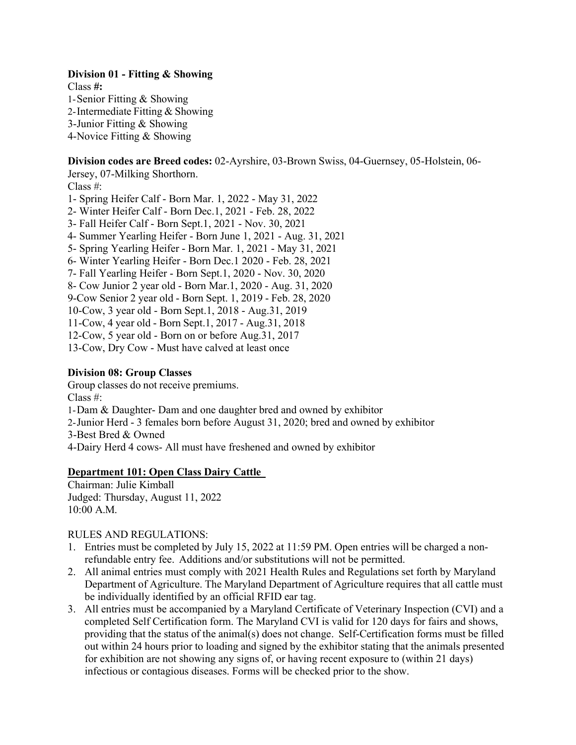## **Division 01 - Fitting & Showing**

Class **#:** 1-Senior Fitting & Showing 2-Intermediate Fitting & Showing 3-Junior Fitting & Showing 4-Novice Fitting & Showing

**Division codes are Breed codes:** 02-Ayrshire, 03-Brown Swiss, 04-Guernsey, 05-Holstein, 06- Jersey, 07-Milking Shorthorn.

Class #:

- 1- Spring Heifer Calf Born Mar. 1, 2022 May 31, 2022
- 2- Winter Heifer Calf Born Dec.1, 2021 Feb. 28, 2022
- 3- Fall Heifer Calf Born Sept.1, 2021 Nov. 30, 2021
- 4- Summer Yearling Heifer Born June 1, 2021 Aug. 31, 2021
- 5- Spring Yearling Heifer Born Mar. 1, 2021 May 31, 2021
- 6- Winter Yearling Heifer Born Dec.1 2020 Feb. 28, 2021
- 7- Fall Yearling Heifer Born Sept.1, 2020 Nov. 30, 2020
- 8- Cow Junior 2 year old Born Mar.1, 2020 Aug. 31, 2020
- 9-Cow Senior 2 year old Born Sept. 1, 2019 Feb. 28, 2020

10-Cow, 3 year old - Born Sept.1, 2018 - Aug.31, 2019

- 11-Cow, 4 year old Born Sept.1, 2017 Aug.31, 2018
- 12-Cow, 5 year old Born on or before Aug.31, 2017
- 13-Cow, Dry Cow Must have calved at least once

### **Division 08: Group Classes**

Group classes do not receive premiums.

Class #:

- 1-Dam & Daughter- Dam and one daughter bred and owned by exhibitor
- 2-Junior Herd 3 females born before August 31, 2020; bred and owned by exhibitor
- 3-Best Bred & Owned
- 4-Dairy Herd 4 cows- All must have freshened and owned by exhibitor

### **Department 101: Open Class Dairy Cattle**

Chairman: Julie Kimball Judged: Thursday, August 11, 2022 10:00 A.M.

#### RULES AND REGULATIONS:

- 1. Entries must be completed by July 15, 2022 at 11:59 PM. Open entries will be charged a nonrefundable entry fee. Additions and/or substitutions will not be permitted.
- 2. All animal entries must comply with 2021 Health Rules and Regulations set forth by Maryland Department of Agriculture. The Maryland Department of Agriculture requires that all cattle must be individually identified by an official RFID ear tag.
- 3. All entries must be accompanied by a Maryland Certificate of Veterinary Inspection (CVI) and a completed Self Certification form. The Maryland CVI is valid for 120 days for fairs and shows, providing that the status of the animal(s) does not change. Self-Certification forms must be filled out within 24 hours prior to loading and signed by the exhibitor stating that the animals presented for exhibition are not showing any signs of, or having recent exposure to (within 21 days) infectious or contagious diseases. Forms will be checked prior to the show.